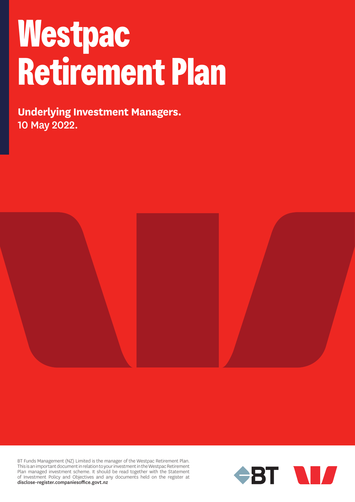## **Westpac Retirement Plan**

**Underlying Investment Managers.** 10 May 2022.



BT Funds Management (NZ) Limited is the manager of the Westpac Retirement Plan. This is an important document in relation to your investment in the Westpac Retirement Plan managed investment scheme. It should be read together with the Statement of Investment Policy and Objectives and any documents held on the register at disclose-register.companiesoffice.govt.nz

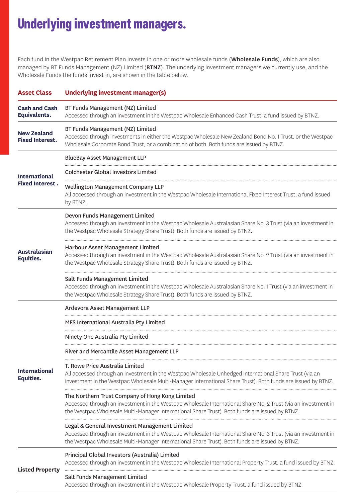## **Underlying investment managers.**

Each fund in the Westpac Retirement Plan invests in one or more wholesale funds (Wholesale Funds), which are also managed by BT Funds Management (NZ) Limited (BTNZ). The underlying investment managers we currently use, and the Wholesale Funds the funds invest in, are shown in the table below.

| <b>Asset Class</b>                             | <b>Underlying investment manager(s)</b>                                                                                                                                                                                                                            |
|------------------------------------------------|--------------------------------------------------------------------------------------------------------------------------------------------------------------------------------------------------------------------------------------------------------------------|
| <b>Cash and Cash</b><br><b>Equivalents.</b>    | BT Funds Management (NZ) Limited<br>Accessed through an investment in the Westpac Wholesale Enhanced Cash Trust, a fund issued by BTNZ.                                                                                                                            |
| <b>New Zealand</b><br><b>Fixed Interest.</b>   | BT Funds Management (NZ) Limited<br>Accessed through investments in either the Westpac Wholesale New Zealand Bond No. 1 Trust, or the Westpac<br>Wholesale Corporate Bond Trust, or a combination of both. Both funds are issued by BTNZ.                          |
| <b>International</b><br><b>Fixed Interest.</b> | <b>BlueBay Asset Management LLP</b>                                                                                                                                                                                                                                |
|                                                | <b>Colchester Global Investors Limited</b>                                                                                                                                                                                                                         |
|                                                | Wellington Management Company LLP<br>All accessed through an investment in the Westpac Wholesale International Fixed Interest Trust, a fund issued<br>by BTNZ.                                                                                                     |
| <b>Australasian</b><br>Equities.               | Devon Funds Management Limited<br>Accessed through an investment in the Westpac Wholesale Australasian Share No. 3 Trust (via an investment in<br>the Westpac Wholesale Strategy Share Trust). Both funds are issued by BTNZ.                                      |
|                                                | <b>Harbour Asset Management Limited</b><br>Accessed through an investment in the Westpac Wholesale Australasian Share No. 2 Trust (via an investment in<br>the Westpac Wholesale Strategy Share Trust). Both funds are issued by BTNZ.                             |
|                                                | <b>Salt Funds Management Limited</b><br>Accessed through an investment in the Westpac Wholesale Australasian Share No. 1 Trust (via an investment in<br>the Westpac Wholesale Strategy Share Trust). Both funds are issued by BTNZ.                                |
|                                                | Ardevora Asset Management LLP                                                                                                                                                                                                                                      |
|                                                | MFS International Australia Pty Limited                                                                                                                                                                                                                            |
|                                                | Ninety One Australia Pty Limited                                                                                                                                                                                                                                   |
| <b>International</b><br>Equities.              | River and Mercantile Asset Management LLP                                                                                                                                                                                                                          |
|                                                | T. Rowe Price Australia Limited<br>All accessed through an investment in the Westpac Wholesale Unhedged International Share Trust (via an<br>investment in the Westpac Wholesale Multi-Manager International Share Trust). Both funds are issued by BTNZ.          |
|                                                | The Northern Trust Company of Hong Kong Limited<br>Accessed through an investment in the Westpac Wholesale International Share No. 2 Trust (via an investment in<br>the Westpac Wholesale Multi-Manager International Share Trust). Both funds are issued by BTNZ. |
|                                                | Legal & General Investment Management Limited<br>Accessed through an investment in the Westpac Wholesale International Share No. 3 Trust (via an investment in<br>the Westpac Wholesale Multi-Manager International Share Trust). Both funds are issued by BTNZ.   |
| <b>Listed Property</b>                         | Principal Global Investors (Australia) Limited<br>Accessed through an investment in the Westpac Wholesale International Property Trust, a fund issued by BTNZ.                                                                                                     |
|                                                | Salt Funds Management Limited<br>Accessed through an investment in the Westpac Wholesale Property Trust, a fund issued by BTNZ.                                                                                                                                    |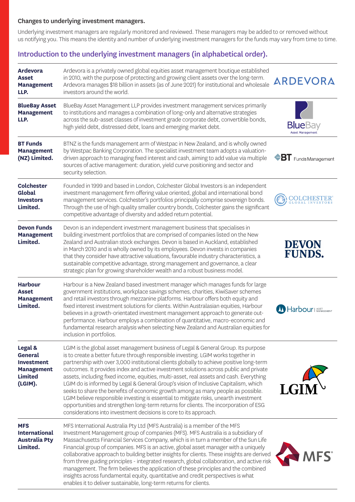## Changes to underlying investment managers.

Underlying investment managers are regularly monitored and reviewed. These managers may be added to or removed without us notifying you. This means the identity and number of underlying investment managers for the funds may vary from time to time.

## Introduction to the underlying investment managers (in alphabetical order).

| <b>Ardevora</b><br>Asset<br><b>Management</b><br>LLP.                                            | Ardevora is a privately owned global equities asset management boutique established<br>in 2010, with the purpose of protecting and growing client assets over the long-term.<br>Ardevora manages \$18 billion in assets (as of June 2021) for institutional and wholesale<br>investors around the world.                                                                                                                                                                                                                                                                                                                                                                                                                                                                                                                                                                                   | ARDEVORA                            |
|--------------------------------------------------------------------------------------------------|--------------------------------------------------------------------------------------------------------------------------------------------------------------------------------------------------------------------------------------------------------------------------------------------------------------------------------------------------------------------------------------------------------------------------------------------------------------------------------------------------------------------------------------------------------------------------------------------------------------------------------------------------------------------------------------------------------------------------------------------------------------------------------------------------------------------------------------------------------------------------------------------|-------------------------------------|
| <b>BlueBay Asset</b><br><b>Management</b><br>LLP.                                                | BlueBay Asset Management LLP provides investment management services primarily<br>to institutions and manages a combination of long-only and alternative strategies<br>across the sub-asset classes of investment grade corporate debt, convertible bonds,<br>high yield debt, distressed debt, loans and emerging market debt.                                                                                                                                                                                                                                                                                                                                                                                                                                                                                                                                                            | <b>Blue</b> Bay<br>Asset Management |
| <b>BT Funds</b><br><b>Management</b><br>(NZ) Limited.                                            | BTNZ is the funds management arm of Westpac in New Zealand, and is wholly owned<br>by Westpac Banking Corporation. The specialist investment team adopts a valuation-<br>driven approach to managing fixed interest and cash, aiming to add value via multiple<br>sources of active management: duration, yield curve positioning and sector and<br>security selection.                                                                                                                                                                                                                                                                                                                                                                                                                                                                                                                    | <b>BT</b> Funds Management          |
| <b>Colchester</b><br>Global<br><b>Investors</b><br>Limited.                                      | Founded in 1999 and based in London, Colchester Global Investors is an independent<br>investment management firm offering value oriented, global and international bond<br>management services. Colchester's portfolios principally comprise sovereign bonds.<br>Through the use of high quality smaller country bonds, Colchester gains the significant<br>competitive advantage of diversity and added return potential.                                                                                                                                                                                                                                                                                                                                                                                                                                                                 | <b>COLCHES</b>                      |
| <b>Devon Funds</b><br><b>Management</b><br>Limited.                                              | Devon is an independent investment management business that specialises in<br>building investment portfolios that are comprised of companies listed on the New<br>Zealand and Australian stock exchanges. Devon is based in Auckland, established<br>in March 2010 and is wholly owned by its employees. Devon invests in companies<br>that they consider have attractive valuations, favourable industry characteristics, a<br>sustainable competitive advantage, strong management and governance, a clear<br>strategic plan for growing shareholder wealth and a robust business model.                                                                                                                                                                                                                                                                                                 | <b>DEVON</b><br><b>FUNDS.</b>       |
| <b>Harbour</b><br><b>Asset</b><br><b>Management</b><br>Limited.                                  | Harbour is a New Zealand based investment manager which manages funds for large<br>government institutions, workplace savings schemes, charities, KiwiSaver schemes<br>and retail investors through mezzanine platforms. Harbour offers both equity and<br>fixed interest investment solutions for clients. Within Australasian equities, Harbour<br>believes in a growth-orientated investment management approach to generate out-<br>performance. Harbour employs a combination of quantitative, macro-economic and<br>fundamental research analysis when selecting New Zealand and Australian equities for<br>inclusion in portfolios.                                                                                                                                                                                                                                                 | <b>M</b> Harbour   ASSET            |
| Legal &<br><b>General</b><br><b>Investment</b><br><b>Management</b><br><b>Limited</b><br>(LGIM). | LGIM is the global asset management business of Legal & General Group. Its purpose<br>is to create a better future through responsible investing. LGIM works together in<br>partnership with over 3,000 institutional clients globally to achieve positive long-term<br>outcomes. It provides index and active investment solutions across public and private<br>assets, including fixed income, equities, multi-asset, real assets and cash. Everything<br>LGIM do is informed by Legal & General Group's vision of Inclusive Capitalism, which<br>seeks to share the benefits of economic growth among as many people as possible.<br>LGIM believe responsible investing is essential to mitigate risks, unearth investment<br>opportunities and strengthen long-term returns for clients. The incorporation of ESG<br>considerations into investment decisions is core to its approach. |                                     |
| <b>MFS</b><br><b>International</b><br><b>Australia Pty</b><br>Limited.                           | MFS International Australia Pty Ltd (MFS Australia) is a member of the MFS<br>Investment Management group of companies (MFS). MFS Australia is a subsidiary of<br>Massachusetts Financial Services Company, which is in turn a member of the Sun Life<br>Financial group of companies. MFS is an active, global asset manager with a uniquely<br>collaborative approach to building better insights for clients. These insights are derived<br>from three guiding principles - integrated research, global collaboration, and active risk<br>management. The firm believes the application of these principles and the combined<br>insights across fundamental equity, quantitative and credit perspectives is what<br>enables it to deliver sustainable, long-term returns for clients.                                                                                                   | <b>AFS</b>                          |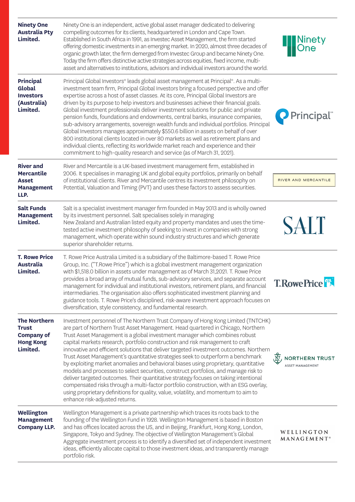| <b>Ninety One</b><br><b>Australia Pty</b><br>Limited.                                    | Ninety One is an independent, active global asset manager dedicated to delivering<br>compelling outcomes for its clients, headquartered in London and Cape Town.<br>Established in South Africa in 1991, as Investec Asset Management, the firm started<br>offering domestic investments in an emerging market. In 2020, almost three decades of<br>organic growth later, the firm demerged from Investec Group and became Ninety One.<br>Today the firm offers distinctive active strategies across equities, fixed income, multi-<br>asset and alternatives to institutions, advisors and individual investors around the world.                                                                                                                                                                                                                                                                                                                                                                          | Ninety<br> One                                   |
|------------------------------------------------------------------------------------------|-------------------------------------------------------------------------------------------------------------------------------------------------------------------------------------------------------------------------------------------------------------------------------------------------------------------------------------------------------------------------------------------------------------------------------------------------------------------------------------------------------------------------------------------------------------------------------------------------------------------------------------------------------------------------------------------------------------------------------------------------------------------------------------------------------------------------------------------------------------------------------------------------------------------------------------------------------------------------------------------------------------|--------------------------------------------------|
| <b>Principal</b><br>Global<br><b>Investors</b><br>(Australia)<br>Limited.                | Principal Global Investors® leads global asset management at Principal®. As a multi-<br>investment team firm, Principal Global Investors bring a focused perspective and offer<br>expertise across a host of asset classes. At its core, Principal Global Investors are<br>driven by its purpose to help investors and businesses achieve their financial goals.<br>Global investment professionals deliver investment solutions for public and private<br>pension funds, foundations and endowments, central banks, insurance companies,<br>sub-advisory arrangements, sovereign wealth funds and individual portfolios. Principal<br>Global Investors manages approximately \$550.6 billion in assets on behalf of over<br>800 institutional clients located in over 80 markets as well as retirement plans and<br>individual clients, reflecting its worldwide market reach and experience and their<br>commitment to high-quality research and service (as of March 31, 2021).                          | Principal <sup>®</sup>                           |
| <b>River and</b><br><b>Mercantile</b><br><b>Asset</b><br><b>Management</b><br>LLP.       | River and Mercantile is a UK-based investment management firm, established in<br>2006. It specialises in managing UK and global equity portfolios, primarily on behalf<br>of institutional clients. River and Mercantile centres its investment philosophy on<br>Potential, Valuation and Timing (PVT) and uses these factors to assess securities.                                                                                                                                                                                                                                                                                                                                                                                                                                                                                                                                                                                                                                                         | RIVER AND MERCANTILE                             |
|                                                                                          |                                                                                                                                                                                                                                                                                                                                                                                                                                                                                                                                                                                                                                                                                                                                                                                                                                                                                                                                                                                                             |                                                  |
| <b>Salt Funds</b><br><b>Management</b><br>Limited.                                       | Salt is a specialist investment manager firm founded in May 2013 and is wholly owned<br>by its investment personnel. Salt specialises solely in managing<br>New Zealand and Australian listed equity and property mandates and uses the time-<br>tested active investment philosophy of seeking to invest in companies with strong<br>management, which operate within sound industry structures and which generate<br>superior shareholder returns.                                                                                                                                                                                                                                                                                                                                                                                                                                                                                                                                                        | <b>SALT</b>                                      |
| <b>T. Rowe Price</b><br><b>Australia</b><br>Limited.                                     | T. Rowe Price Australia Limited is a subsidiary of the Baltimore-based T. Rowe Price<br>Group, Inc. ("T.Rowe Price") which is a global investment management organization<br>with \$1,518.0 billion in assets under management as of March 31,2021. T. Rowe Price<br>provides a broad array of mutual funds, sub-advisory services, and separate account<br>management for individual and institutional investors, retirement plans, and financial<br>intermediaries. The organisation also offers sophisticated investment planning and<br>guidance tools. T. Rowe Price's disciplined, risk-aware investment approach focuses on<br>diversification, style consistency, and fundamental research.                                                                                                                                                                                                                                                                                                         | <b>T.RowePrice</b>                               |
| <b>The Northern</b><br><b>Trust</b><br><b>Company of</b><br><b>Hong Kong</b><br>Limited. | Investment personnel of The Northern Trust Company of Hong Kong Limited (TNTCHK)<br>are part of Northern Trust Asset Management. Head quartered in Chicago, Northern<br>Trust Asset Management is a global investment manager which combines robust<br>capital markets research, portfolio construction and risk management to craft<br>innovative and efficient solutions that deliver targeted investment outcomes. Northern<br>Trust Asset Management's quantitative strategies seek to outperform a benchmark<br>by exploiting market anomalies and behavioral biases using proprietary, quantitative<br>models and processes to select securities, construct portfolios, and manage risk to<br>deliver targeted outcomes. Their quantitative strategy focuses on taking intentional<br>compensated risks through a multi-factor portfolio construction, with an ESG overlay,<br>using proprietary definitions for quality, value, volatility, and momentum to aim to<br>enhance risk-adjusted returns. | <b>NORTHERN TRUST</b><br><b>ASSET MANAGEMENT</b> |
| Wellington<br><b>Management</b><br><b>Company LLP.</b>                                   | Wellington Management is a private partnership which traces its roots back to the<br>founding of the Wellington Fund in 1928. Wellington Management is based in Boston<br>and has offices located across the US, and in Beijing, Frankfurt, Hong Kong, London,<br>Singapore, Tokyo and Sydney. The objective of Wellington Management's Global<br>Aggregate investment process is to identify a diversified set of independent investment<br>ideas, efficiently allocate capital to those investment ideas, and transparently manage<br>portfolio risk.                                                                                                                                                                                                                                                                                                                                                                                                                                                     | WELLINGTON<br><b>MANAGEMENT</b> ®                |